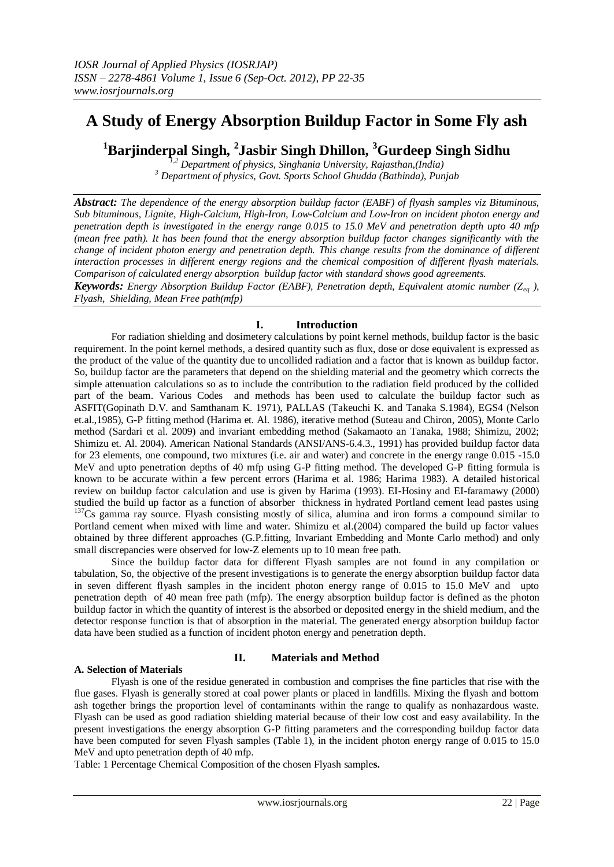# **A Study of Energy Absorption Buildup Factor in Some Fly ash**

**<sup>1</sup>Barjinderpal Singh, <sup>2</sup> Jasbir Singh Dhillon, <sup>3</sup>Gurdeep Singh Sidhu**

*1,2 Department of physics, Singhania University, Rajasthan,(India) <sup>3</sup> Department of physics, Govt. Sports School Ghudda (Bathinda), Punjab*

*Abstract: The dependence of the energy absorption buildup factor (EABF) of flyash samples viz Bituminous, Sub bituminous, Lignite, High-Calcium, High-Iron, Low-Calcium and Low-Iron on incident photon energy and penetration depth is investigated in the energy range 0.015 to 15.0 MeV and penetration depth upto 40 mfp (mean free path). It has been found that the energy absorption buildup factor changes significantly with the change of incident photon energy and penetration depth. This change results from the dominance of different interaction processes in different energy regions and the chemical composition of different flyash materials. Comparison of calculated energy absorption buildup factor with standard shows good agreements.*

*Keywords: Energy Absorption Buildup Factor (EABF), Penetration depth, Equivalent atomic number (Zeq ), Flyash, Shielding, Mean Free path(mfp)*

# **I. Introduction**

For radiation shielding and dosimetery calculations by point kernel methods, buildup factor is the basic requirement. In the point kernel methods, a desired quantity such as flux, dose or dose equivalent is expressed as the product of the value of the quantity due to uncollided radiation and a factor that is known as buildup factor. So, buildup factor are the parameters that depend on the shielding material and the geometry which corrects the simple attenuation calculations so as to include the contribution to the radiation field produced by the collided part of the beam. Various Codes and methods has been used to calculate the buildup factor such as ASFIT(Gopinath D.V. and Samthanam K. 1971), PALLAS (Takeuchi K. and Tanaka S.1984), EGS4 (Nelson et.al.,1985), G-P fitting method (Harima et. Al. 1986), iterative method (Suteau and Chiron, 2005), Monte Carlo method (Sardari et al. 2009) and invariant embedding method (Sakamaoto an Tanaka, 1988; Shimizu, 2002; Shimizu et. Al. 2004). American National Standards (ANSI/ANS-6.4.3., 1991) has provided buildup factor data for 23 elements, one compound, two mixtures (i.e. air and water) and concrete in the energy range 0.015 -15.0 MeV and upto penetration depths of 40 mfp using G-P fitting method. The developed G-P fitting formula is known to be accurate within a few percent errors (Harima et al. 1986; Harima 1983). A detailed historical review on buildup factor calculation and use is given by Harima (1993). EI-Hosiny and EI-faramawy (2000) studied the build up factor as a function of absorber thickness in hydrated Portland cement lead pastes using <sup>137</sup>Cs gamma ray source. Flyash consisting mostly of silica, alumina and iron forms a compound similar to Portland cement when mixed with lime and water. Shimizu et al.(2004) compared the build up factor values obtained by three different approaches (G.P.fitting, Invariant Embedding and Monte Carlo method) and only small discrepancies were observed for low-Z elements up to 10 mean free path.

Since the buildup factor data for different Flyash samples are not found in any compilation or tabulation, So, the objective of the present investigations is to generate the energy absorption buildup factor data in seven different flyash samples in the incident photon energy range of 0.015 to 15.0 MeV and upto penetration depth of 40 mean free path (mfp). The energy absorption buildup factor is defined as the photon buildup factor in which the quantity of interest is the absorbed or deposited energy in the shield medium, and the detector response function is that of absorption in the material. The generated energy absorption buildup factor data have been studied as a function of incident photon energy and penetration depth.

# **A. Selection of Materials**

# **II. Materials and Method**

Flyash is one of the residue generated in combustion and comprises the fine particles that rise with the flue gases. Flyash is generally stored at coal power plants or placed in landfills. Mixing the flyash and bottom ash together brings the proportion level of contaminants within the range to qualify as nonhazardous waste. Flyash can be used as good radiation shielding material because of their low cost and easy availability. In the present investigations the energy absorption G-P fitting parameters and the corresponding buildup factor data have been computed for seven Flyash samples (Table 1), in the incident photon energy range of 0.015 to 15.0 MeV and upto penetration depth of 40 mfp.

Table: 1 Percentage Chemical Composition of the chosen Flyash sample**s.**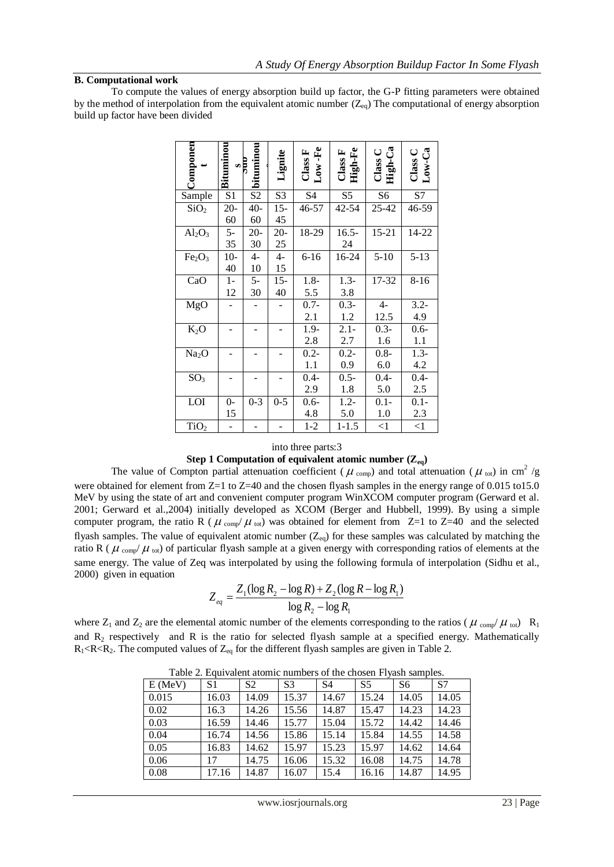# **B. Computational work**

To compute the values of energy absorption build up factor, the G-P fitting parameters were obtained by the method of interpolation from the equivalent atomic number  $(Z_{eq})$  The computational of energy absorption build up factor have been divided

|         | Componen                                                                                                                                                                                                                                                                                                                                                                                                                                                                                                                                                                                                                                                                             | Bituminou<br>$rac{1}{s}$ | bituminou      | Lignite                      | $Low\text{-}Fe$<br>Class F | High-Fe<br>Class F | Class C<br>High-Ca                                                                     | Class C<br>$Low-Ca$ |       |
|---------|--------------------------------------------------------------------------------------------------------------------------------------------------------------------------------------------------------------------------------------------------------------------------------------------------------------------------------------------------------------------------------------------------------------------------------------------------------------------------------------------------------------------------------------------------------------------------------------------------------------------------------------------------------------------------------------|--------------------------|----------------|------------------------------|----------------------------|--------------------|----------------------------------------------------------------------------------------|---------------------|-------|
|         | Sample                                                                                                                                                                                                                                                                                                                                                                                                                                                                                                                                                                                                                                                                               | S1                       | S <sub>2</sub> | S3                           | S4                         | S <sub>5</sub>     | S <sub>6</sub>                                                                         | S7                  |       |
|         | SiO <sub>2</sub>                                                                                                                                                                                                                                                                                                                                                                                                                                                                                                                                                                                                                                                                     | $20 -$                   | $40-$          | $15 -$                       | 46-57                      | 42-54              | 25-42                                                                                  | 46-59               |       |
|         |                                                                                                                                                                                                                                                                                                                                                                                                                                                                                                                                                                                                                                                                                      | 60                       | 60             | 45                           |                            |                    |                                                                                        |                     |       |
|         | $Al_2O_3$                                                                                                                                                                                                                                                                                                                                                                                                                                                                                                                                                                                                                                                                            | $5-$                     | $20 -$         | $20 -$                       | 18-29                      | $16.5 -$           | $15 - 21$                                                                              | 14-22               |       |
|         |                                                                                                                                                                                                                                                                                                                                                                                                                                                                                                                                                                                                                                                                                      | 35                       | 30             | 25                           |                            | 24                 |                                                                                        |                     |       |
|         | Fe <sub>2</sub> O <sub>3</sub>                                                                                                                                                                                                                                                                                                                                                                                                                                                                                                                                                                                                                                                       | $10-$                    | $4-$           | $4-$                         | $6 - 16$                   | 16-24              | $5 - 10$                                                                               | $5 - 13$            |       |
|         |                                                                                                                                                                                                                                                                                                                                                                                                                                                                                                                                                                                                                                                                                      | 40                       | 10             | 15                           |                            |                    |                                                                                        |                     |       |
|         | CaO                                                                                                                                                                                                                                                                                                                                                                                                                                                                                                                                                                                                                                                                                  | $1-$                     | $5-$           | $15 -$                       | $1.8-$                     | $1.3-$             | 17-32                                                                                  | $8 - 16$            |       |
|         |                                                                                                                                                                                                                                                                                                                                                                                                                                                                                                                                                                                                                                                                                      | 12                       | 30             | 40                           | 5.5                        | 3.8<br>$0.3 -$     | $4-$                                                                                   | $3.2 -$             |       |
|         | MgO                                                                                                                                                                                                                                                                                                                                                                                                                                                                                                                                                                                                                                                                                  |                          |                |                              | $0.7 -$<br>2.1             | 1.2                | 12.5                                                                                   | 4.9                 |       |
|         | $K_2O$                                                                                                                                                                                                                                                                                                                                                                                                                                                                                                                                                                                                                                                                               | -                        |                |                              | 1.9-                       | $2.1 -$            | $0.3 -$                                                                                | $0.6 -$             |       |
|         |                                                                                                                                                                                                                                                                                                                                                                                                                                                                                                                                                                                                                                                                                      |                          |                |                              | 2.8                        | 2.7                | 1.6                                                                                    | 1.1                 |       |
|         | Na <sub>2</sub> O                                                                                                                                                                                                                                                                                                                                                                                                                                                                                                                                                                                                                                                                    | -                        | -              | $\qquad \qquad \blacksquare$ | $0.2 -$                    | $0.2 -$            | $0.8 -$                                                                                | $1.3-$              |       |
|         |                                                                                                                                                                                                                                                                                                                                                                                                                                                                                                                                                                                                                                                                                      |                          |                |                              | 1.1                        | 0.9                | 6.0                                                                                    | 4.2                 |       |
|         | SO <sub>3</sub>                                                                                                                                                                                                                                                                                                                                                                                                                                                                                                                                                                                                                                                                      | -                        | ۰              | -                            | $0.4-$                     | $0.5 -$            | $0.4-$                                                                                 | $0.4 -$             |       |
|         |                                                                                                                                                                                                                                                                                                                                                                                                                                                                                                                                                                                                                                                                                      |                          |                |                              | 2.9                        | $1.8\,$            | 5.0                                                                                    | 2.5                 |       |
|         | LOI                                                                                                                                                                                                                                                                                                                                                                                                                                                                                                                                                                                                                                                                                  | $0-$                     | $0 - 3$        | $0 - 5$                      | $0.6 -$                    | $1.2 -$            | $0.1 -$                                                                                | $0.1 -$             |       |
|         |                                                                                                                                                                                                                                                                                                                                                                                                                                                                                                                                                                                                                                                                                      | 15                       |                |                              | 4.8                        | 5.0                | 1.0                                                                                    | 2.3                 |       |
|         | TiO <sub>2</sub>                                                                                                                                                                                                                                                                                                                                                                                                                                                                                                                                                                                                                                                                     |                          |                |                              | $1 - 2$                    | $1 - 1.5$          | $<$ 1                                                                                  | $\leq$ 1            |       |
| uation  | e of Compton partial attenuation coefficient ( $\mu_{\text{comp}}$ ) and total attenuatio<br>element from Z=1 to Z=40 and the chosen flyash samples in the energy ran<br>state of art and convenient computer program WinXCOM computer progr<br>t al., 2004) initially developed as XCOM (Berger and Hubbell, 1999). I<br>n, the ratio R ( $\mu$ <sub>comp</sub> / $\mu$ <sub>tot</sub> ) was obtained for element from Z=1 to Z=40<br>the value of equivalent atomic number $(Z_{eq})$ for these samples was calculated<br>tot) of particular flyash sample at a given energy with corresponding ratios<br>value of Zeq was interpolated by using the following formula of interpol |                          |                |                              |                            |                    | Step 1 Computation of equivalent atomic number $(Z_{eq})$                              |                     |       |
|         |                                                                                                                                                                                                                                                                                                                                                                                                                                                                                                                                                                                                                                                                                      |                          |                |                              |                            |                    | $Z_{eq} = \frac{Z_1(\log R_2 - \log R) + Z_2(\log R - \log R_1)}{\log R_2 - \log R_1}$ |                     |       |
|         |                                                                                                                                                                                                                                                                                                                                                                                                                                                                                                                                                                                                                                                                                      |                          |                |                              |                            |                    |                                                                                        |                     |       |
| гlу     | re the elemental atomic number of the elements corresponding to the ratios<br>and R is the ratio for selected flyash sample at a specified energ<br>mputed values of $Z_{eq}$ for the different flyash samples are given in Table 2.                                                                                                                                                                                                                                                                                                                                                                                                                                                 |                          |                |                              |                            |                    |                                                                                        |                     |       |
| E (MeV) | Table 2. Equivalent atomic numbers of the chosen Flyash samples.<br>S1                                                                                                                                                                                                                                                                                                                                                                                                                                                                                                                                                                                                               |                          | S <sub>2</sub> | S3                           |                            | S4                 | S5                                                                                     | S6                  | S7    |
| 0.015   |                                                                                                                                                                                                                                                                                                                                                                                                                                                                                                                                                                                                                                                                                      | 16.03                    | 14.09          |                              | 15.37                      | 14.67              | 15.24                                                                                  | 14.05               | 14.05 |
| 0.02    | 16.3                                                                                                                                                                                                                                                                                                                                                                                                                                                                                                                                                                                                                                                                                 |                          | 14.26          |                              | 15.56                      | 14.87              | 15.47                                                                                  | 14.23               | 14.23 |
| 0.03    |                                                                                                                                                                                                                                                                                                                                                                                                                                                                                                                                                                                                                                                                                      | 16.59                    | 14.46          |                              | 15.77                      | 15.04              | 15.72                                                                                  | 14.42               | 14.46 |
| 0.04    |                                                                                                                                                                                                                                                                                                                                                                                                                                                                                                                                                                                                                                                                                      | 16.74                    | 14.56          |                              | 15.86                      | 15.14              | 15.84                                                                                  | 14.55               | 14.58 |
| 0.05    |                                                                                                                                                                                                                                                                                                                                                                                                                                                                                                                                                                                                                                                                                      | 16.83                    | 14.62          |                              | 15.97                      | 15.23              | 15.97                                                                                  | 14.62               | 14.64 |
| 0.06    | 17                                                                                                                                                                                                                                                                                                                                                                                                                                                                                                                                                                                                                                                                                   |                          | 14.75          |                              | 16.06                      | 15.32              | 16.08                                                                                  | 14.75               | 14.78 |
| 0.08    |                                                                                                                                                                                                                                                                                                                                                                                                                                                                                                                                                                                                                                                                                      | 17.16                    | 14.87          |                              | 16.07                      | 15.4               | 16.16                                                                                  | 14.87               | 14.95 |
|         |                                                                                                                                                                                                                                                                                                                                                                                                                                                                                                                                                                                                                                                                                      |                          |                |                              |                            |                    |                                                                                        |                     |       |

## into three parts:3 **Step 1 Computation of equivalent atomic number**  $(Z_{eq})$

The value of Compton partial attenuation coefficient ( $\mu_{\rm comp}$ ) and total attenuation ( $\mu_{\rm tot}$ ) in cm<sup>2</sup>/g were obtained for element from Z=1 to Z=40 and the chosen flyash samples in the energy range of 0.015 to15.0 MeV by using the state of art and convenient computer program WinXCOM computer program (Gerward et al. 2001; Gerward et al.,2004) initially developed as XCOM (Berger and Hubbell, 1999). By using a simple computer program, the ratio R ( $\mu_{\text{comp}}/\mu_{\text{tot}}$ ) was obtained for element from Z=1 to Z=40 and the selected flyash samples. The value of equivalent atomic number  $(Z_{eq})$  for these samples was calculated by matching the ratio R ( $\mu$ <sub>comp</sub>/ $\mu$ <sub>tot</sub>) of particular flyash sample at a given energy with corresponding ratios of elements at the same energy. The value of Zeq was interpolated by using the following formula of interpolation (Sidhu et al., 2000) given in equation

$$
Z_{eq} = \frac{Z_1(\log R_2 - \log R) + Z_2(\log R - \log R_1)}{\log R_2 - \log R_1}
$$

where  $Z_1$  and  $Z_2$  are the elemental atomic number of the elements corresponding to the ratios ( $\mu$ <sub>comp</sub>/ $\mu$ <sub>tot</sub>) R<sub>1</sub> and  $R_2$  respectively and R is the ratio for selected flyash sample at a specified energy. Mathematically  $R_1 < R < R_2$ . The computed values of  $Z_{eq}$  for the different flyash samples are given in Table 2.

| $E$ (MeV) | S <sub>1</sub> | S <sub>2</sub> | S <sub>3</sub> | S <sub>4</sub> | S <sub>5</sub> | S <sub>6</sub> | S7    |
|-----------|----------------|----------------|----------------|----------------|----------------|----------------|-------|
| 0.015     | 16.03          | 14.09          | 15.37          | 14.67          | 15.24          | 14.05          | 14.05 |
| 0.02      | 16.3           | 14.26          | 15.56          | 14.87          | 15.47          | 14.23          | 14.23 |
| 0.03      | 16.59          | 14.46          | 15.77          | 15.04          | 15.72          | 14.42          | 14.46 |
| 0.04      | 16.74          | 14.56          | 15.86          | 15.14          | 15.84          | 14.55          | 14.58 |
| 0.05      | 16.83          | 14.62          | 15.97          | 15.23          | 15.97          | 14.62          | 14.64 |
| 0.06      | 17             | 14.75          | 16.06          | 15.32          | 16.08          | 14.75          | 14.78 |
| 0.08      | 17.16          | 14.87          | 16.07          | 15.4           | 16.16          | 14.87          | 14.95 |

Table 2. Equivalent atomic numbers of the chosen Flyash samples.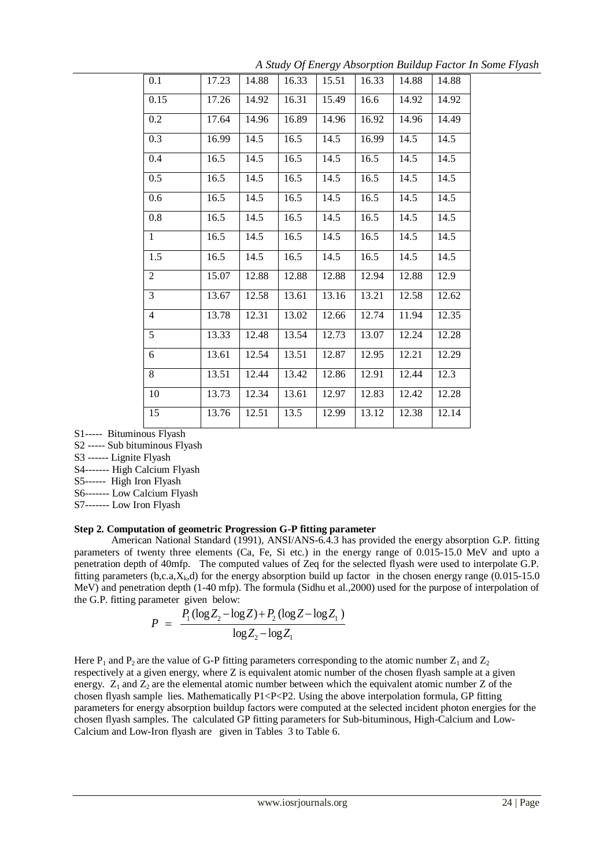| 0.1            | 17.23 | 14.88 | 16.33 | 15.51 | 16.33 | 14.88 | 14.88 |
|----------------|-------|-------|-------|-------|-------|-------|-------|
| 0.15           | 17.26 | 14.92 | 16.31 | 15.49 | 16.6  | 14.92 | 14.92 |
| 0.2            | 17.64 | 14.96 | 16.89 | 14.96 | 16.92 | 14.96 | 14.49 |
| 0.3            | 16.99 | 14.5  | 16.5  | 14.5  | 16.99 | 14.5  | 14.5  |
| 0.4            | 16.5  | 14.5  | 16.5  | 14.5  | 16.5  | 14.5  | 14.5  |
| 0.5            | 16.5  | 14.5  | 16.5  | 14.5  | 16.5  | 14.5  | 14.5  |
| 0.6            | 16.5  | 14.5  | 16.5  | 14.5  | 16.5  | 14.5  | 14.5  |
| 0.8            | 16.5  | 14.5  | 16.5  | 14.5  | 16.5  | 14.5  | 14.5  |
| 1              | 16.5  | 14.5  | 16.5  | 14.5  | 16.5  | 14.5  | 14.5  |
| 1.5            | 16.5  | 14.5  | 16.5  | 14.5  | 16.5  | 14.5  | 14.5  |
| $\overline{2}$ | 15.07 | 12.88 | 12.88 | 12.88 | 12.94 | 12.88 | 12.9  |
| 3              | 13.67 | 12.58 | 13.61 | 13.16 | 13.21 | 12.58 | 12.62 |
| $\overline{4}$ | 13.78 | 12.31 | 13.02 | 12.66 | 12.74 | 11.94 | 12.35 |
| 5              | 13.33 | 12.48 | 13.54 | 12.73 | 13.07 | 12.24 | 12.28 |
| 6              | 13.61 | 12.54 | 13.51 | 12.87 | 12.95 | 12.21 | 12.29 |
| 8              | 13.51 | 12.44 | 13.42 | 12.86 | 12.91 | 12.44 | 12.3  |
| 10             | 13.73 | 12.34 | 13.61 | 12.97 | 12.83 | 12.42 | 12.28 |
| 15             | 13.76 | 12.51 | 13.5  | 12.99 | 13.12 | 12.38 | 12.14 |

*A Study Of Energy Absorption Buildup Factor In Some Flyash*

S1----- Bituminous Flyash

S2 ----- Sub bituminous Flyash

S3 ------ Lignite Flyash

S4------- High Calcium Flyash

S5------ High Iron Flyash

S6------- Low Calcium Flyash

S7------- Low Iron Flyash

### **Step 2. Computation of geometric Progression G-P fitting parameter**

American National Standard (1991), ANSI/ANS-6.4.3 has provided the energy absorption G.P. fitting parameters of twenty three elements (Ca, Fe, Si etc.) in the energy range of 0.015-15.0 MeV and upto a penetration depth of 40mfp. The computed values of Zeq for the selected flyash were used to interpolate G.P. fitting parameters (b,c.a, $X_k$ ,d) for the energy absorption build up factor in the chosen energy range (0.015-15.0) MeV) and penetration depth (1-40 mfp). The formula (Sidhu et al.,2000) used for the purpose of interpolation of the G.P. fitting parameter given below:

$$
P = \frac{P_1(\log Z_2 - \log Z) + P_2(\log Z - \log Z_1)}{\log Z_2 - \log Z_1}
$$

Here  $P_1$  and  $P_2$  are the value of G-P fitting parameters corresponding to the atomic number  $Z_1$  and  $Z_2$ respectively at a given energy, where Z is equivalent atomic number of the chosen flyash sample at a given energy.  $Z_1$  and  $Z_2$  are the elemental atomic number between which the equivalent atomic number Z of the chosen flyash sample lies. Mathematically  $P1 < P < P2$ . Using the above interpolation formula, GP fitting parameters for energy absorption buildup factors were computed at the selected incident photon energies for the chosen flyash samples. The calculated GP fitting parameters for Sub-bituminous, High-Calcium and Low-Calcium and Low-Iron flyash are given in Tables 3 to Table 6.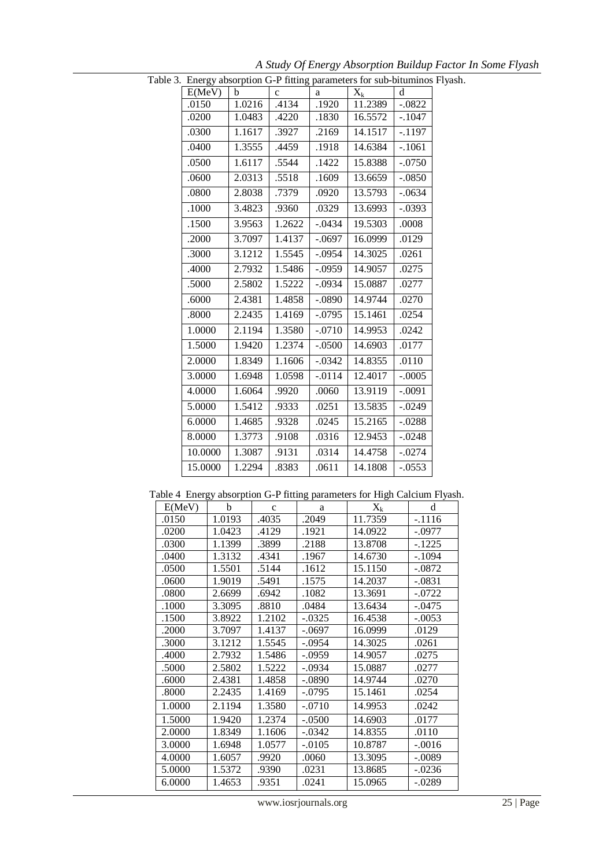| Table 3. Energy absorption G-P fitting parameters for sub-bituminos Flyash. |             |        |          |         |          |  |
|-----------------------------------------------------------------------------|-------------|--------|----------|---------|----------|--|
| E(MeV)                                                                      | $\mathbf b$ | с      | a        | $X_k$   | d        |  |
| .0150                                                                       | 1.0216      | .4134  | .1920    | 11.2389 | $-.0822$ |  |
| .0200                                                                       | 1.0483      | .4220  | .1830    | 16.5572 | $-.1047$ |  |
| .0300                                                                       | 1.1617      | .3927  | .2169    | 14.1517 | $-.1197$ |  |
| .0400                                                                       | 1.3555      | .4459  | .1918    | 14.6384 | $-.1061$ |  |
| .0500                                                                       | 1.6117      | .5544  | .1422    | 15.8388 | $-.0750$ |  |
| .0600                                                                       | 2.0313      | .5518  | .1609    | 13.6659 | $-.0850$ |  |
| .0800                                                                       | 2.8038      | .7379  | .0920    | 13.5793 | $-.0634$ |  |
| .1000                                                                       | 3.4823      | .9360  | .0329    | 13.6993 | $-.0393$ |  |
| .1500                                                                       | 3.9563      | 1.2622 | $-.0434$ | 19.5303 | .0008    |  |
| .2000                                                                       | 3.7097      | 1.4137 | $-.0697$ | 16.0999 | .0129    |  |
| .3000                                                                       | 3.1212      | 1.5545 | $-.0954$ | 14.3025 | .0261    |  |
| .4000                                                                       | 2.7932      | 1.5486 | $-.0959$ | 14.9057 | .0275    |  |
| .5000                                                                       | 2.5802      | 1.5222 | $-.0934$ | 15.0887 | .0277    |  |
| .6000                                                                       | 2.4381      | 1.4858 | $-.0890$ | 14.9744 | .0270    |  |
| .8000                                                                       | 2.2435      | 1.4169 | $-.0795$ | 15.1461 | .0254    |  |
| 1.0000                                                                      | 2.1194      | 1.3580 | $-.0710$ | 14.9953 | .0242    |  |
| 1.5000                                                                      | 1.9420      | 1.2374 | $-.0500$ | 14.6903 | .0177    |  |
| 2.0000                                                                      | 1.8349      | 1.1606 | $-.0342$ | 14.8355 | .0110    |  |
| 3.0000                                                                      | 1.6948      | 1.0598 | $-.0114$ | 12.4017 | $-.0005$ |  |
| 4.0000                                                                      | 1.6064      | .9920  | .0060    | 13.9119 | $-.0091$ |  |
| 5.0000                                                                      | 1.5412      | .9333  | .0251    | 13.5835 | $-.0249$ |  |
| 6.0000                                                                      | 1.4685      | .9328  | .0245    | 15.2165 | $-.0288$ |  |
| 8.0000                                                                      | 1.3773      | .9108  | .0316    | 12.9453 | $-.0248$ |  |
| 10.0000                                                                     | 1.3087      | .9131  | .0314    | 14.4758 | $-.0274$ |  |
| 15.0000                                                                     | 1.2294      | .8383  | .0611    | 14.1808 | $-.0553$ |  |
|                                                                             |             |        |          |         |          |  |

*A Study Of Energy Absorption Buildup Factor In Some Flyash*

| Table 4 Energy absorption G-P fitting parameters for High Calcium Flyash. |        |              |          |         |          |  |
|---------------------------------------------------------------------------|--------|--------------|----------|---------|----------|--|
| E(MeV)                                                                    | b      | $\mathbf{C}$ | a        | $X_{k}$ | d        |  |
| .0150                                                                     | 1.0193 | .4035        | .2049    | 11.7359 | $-.1116$ |  |
| .0200                                                                     | 1.0423 | .4129        | .1921    | 14.0922 | $-.0977$ |  |
| .0300                                                                     | 1.1399 | .3899        | .2188    | 13.8708 | $-.1225$ |  |
| .0400                                                                     | 1.3132 | .4341        | .1967    | 14.6730 | $-.1094$ |  |
| .0500                                                                     | 1.5501 | .5144        | .1612    | 15.1150 | $-.0872$ |  |
| .0600                                                                     | 1.9019 | .5491        | .1575    | 14.2037 | $-.0831$ |  |
| .0800                                                                     | 2.6699 | .6942        | .1082    | 13.3691 | $-.0722$ |  |
| .1000                                                                     | 3.3095 | .8810        | .0484    | 13.6434 | $-.0475$ |  |
| .1500                                                                     | 3.8922 | 1.2102       | $-.0325$ | 16.4538 | $-.0053$ |  |
| .2000                                                                     | 3.7097 | 1.4137       | $-.0697$ | 16.0999 | .0129    |  |
| .3000                                                                     | 3.1212 | 1.5545       | $-.0954$ | 14.3025 | .0261    |  |
| .4000                                                                     | 2.7932 | 1.5486       | $-.0959$ | 14.9057 | .0275    |  |
| .5000                                                                     | 2.5802 | 1.5222       | $-.0934$ | 15.0887 | .0277    |  |
| .6000                                                                     | 2.4381 | 1.4858       | $-.0890$ | 14.9744 | .0270    |  |
| .8000                                                                     | 2.2435 | 1.4169       | $-.0795$ | 15.1461 | .0254    |  |
| 1.0000                                                                    | 2.1194 | 1.3580       | $-.0710$ | 14.9953 | .0242    |  |
| 1.5000                                                                    | 1.9420 | 1.2374       | $-.0500$ | 14.6903 | .0177    |  |
| 2.0000                                                                    | 1.8349 | 1.1606       | $-.0342$ | 14.8355 | .0110    |  |
| 3.0000                                                                    | 1.6948 | 1.0577       | $-.0105$ | 10.8787 | $-.0016$ |  |
| 4.0000                                                                    | 1.6057 | .9920        | .0060    | 13.3095 | $-.0089$ |  |
| 5.0000                                                                    | 1.5372 | .9390        | .0231    | 13.8685 | $-.0236$ |  |
| 6.0000                                                                    | 1.4653 | .9351        | .0241    | 15.0965 | $-.0289$ |  |

Table 4 Energy absorption G-P fitting parameters for High Calcium Flyash.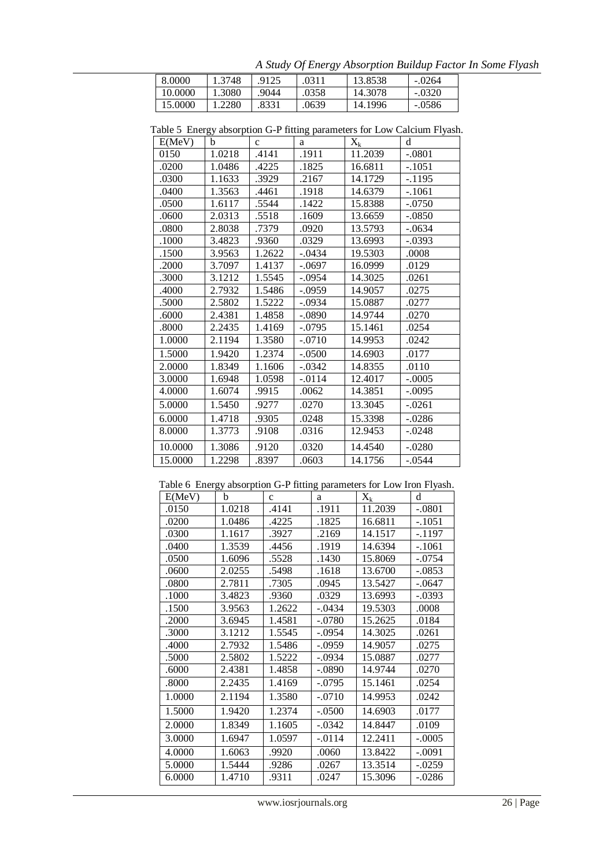*A Study Of Energy Absorption Buildup Factor In Some Flyash* 8.0000 1.3748 .9125 .0311 13.8538 -.0264 10.0000 1.3080 .9044 .0358 14.3078 -.0320 15.0000 1.2280 .8331 .0639 14.1996 -.0586

| E(MeV)  | b      | $\mathbf{C}$ | a        | $X_k$   | d        |
|---------|--------|--------------|----------|---------|----------|
| 0150    | 1.0218 | .4141        | .1911    | 11.2039 | $-.0801$ |
| .0200   | 1.0486 | .4225        | .1825    | 16.6811 | $-.1051$ |
| .0300   | 1.1633 | .3929        | .2167    | 14.1729 | $-.1195$ |
| .0400   | 1.3563 | .4461        | .1918    | 14.6379 | $-.1061$ |
| .0500   | 1.6117 | .5544        | .1422    | 15.8388 | $-.0750$ |
| .0600   | 2.0313 | .5518        | .1609    | 13.6659 | $-.0850$ |
| .0800   | 2.8038 | .7379        | .0920    | 13.5793 | $-.0634$ |
| .1000   | 3.4823 | .9360        | .0329    | 13.6993 | $-.0393$ |
| .1500   | 3.9563 | 1.2622       | $-.0434$ | 19.5303 | .0008    |
| .2000   | 3.7097 | 1.4137       | $-.0697$ | 16.0999 | .0129    |
| .3000   | 3.1212 | 1.5545       | $-.0954$ | 14.3025 | .0261    |
| .4000   | 2.7932 | 1.5486       | $-.0959$ | 14.9057 | .0275    |
| .5000   | 2.5802 | 1.5222       | $-.0934$ | 15.0887 | .0277    |
| .6000   | 2.4381 | 1.4858       | $-.0890$ | 14.9744 | .0270    |
| .8000   | 2.2435 | 1.4169       | $-.0795$ | 15.1461 | .0254    |
| 1.0000  | 2.1194 | 1.3580       | $-.0710$ | 14.9953 | .0242    |
| 1.5000  | 1.9420 | 1.2374       | $-.0500$ | 14.6903 | .0177    |
| 2.0000  | 1.8349 | 1.1606       | $-.0342$ | 14.8355 | .0110    |
| 3.0000  | 1.6948 | 1.0598       | $-.0114$ | 12.4017 | $-.0005$ |
| 4.0000  | 1.6074 | .9915        | .0062    | 14.3851 | $-.0095$ |
| 5.0000  | 1.5450 | .9277        | .0270    | 13.3045 | $-.0261$ |
| 6.0000  | 1.4718 | .9305        | .0248    | 15.3398 | $-.0286$ |
| 8.0000  | 1.3773 | .9108        | .0316    | 12.9453 | $-.0248$ |
| 10.0000 | 1.3086 | .9120        | .0320    | 14.4540 | $-.0280$ |
| 15.0000 | 1.2298 | .8397        | .0603    | 14.1756 | $-.0544$ |

Table 5 Energy absorption G-P fitting parameters for Low Calcium Flyash.

Table 6 Energy absorption G-P fitting parameters for Low Iron Flyash.

| E(MeV) | 0.<br>b | $\mathbf{c}$ | ா<br>a    | $X_k$   | d        |
|--------|---------|--------------|-----------|---------|----------|
| .0150  | 1.0218  | .4141        | .1911     | 11.2039 | $-.0801$ |
| .0200  | 1.0486  | .4225        | .1825     | 16.6811 | $-.1051$ |
| .0300  | 1.1617  | .3927        | .2169     | 14.1517 | $-.1197$ |
| .0400  | 1.3539  | .4456        | .1919     | 14.6394 | $-.1061$ |
| .0500  | 1.6096  | .5528        | .1430     | 15.8069 | $-.0754$ |
| .0600  | 2.0255  | .5498        | .1618     | 13.6700 | $-.0853$ |
| .0800  | 2.7811  | .7305        | .0945     | 13.5427 | $-.0647$ |
| .1000  | 3.4823  | .9360        | .0329     | 13.6993 | -.0393   |
| .1500  | 3.9563  | 1.2622       | $-.0434$  | 19.5303 | .0008    |
| .2000  | 3.6945  | 1.4581       | $-.0780$  | 15.2625 | .0184    |
| .3000  | 3.1212  | 1.5545       | $-.0954$  | 14.3025 | .0261    |
| .4000  | 2.7932  | 1.5486       | $-.0959$  | 14.9057 | .0275    |
| .5000  | 2.5802  | 1.5222       | $-.0934$  | 15.0887 | .0277    |
| .6000  | 2.4381  | 1.4858       | $-.0890$  | 14.9744 | .0270    |
| .8000  | 2.2435  | 1.4169       | $-.0795$  | 15.1461 | .0254    |
| 1.0000 | 2.1194  | 1.3580       | $-.0710$  | 14.9953 | .0242    |
| 1.5000 | 1.9420  | 1.2374       | $-.0500$  | 14.6903 | .0177    |
| 2.0000 | 1.8349  | 1.1605       | $-.0342$  | 14.8447 | .0109    |
| 3.0000 | 1.6947  | 1.0597       | $-0.0114$ | 12.2411 | $-.0005$ |
| 4.0000 | 1.6063  | .9920        | .0060     | 13.8422 | $-.0091$ |
| 5.0000 | 1.5444  | .9286        | .0267     | 13.3514 | $-.0259$ |
| 6.0000 | 1.4710  | .9311        | .0247     | 15.3096 | -.0286   |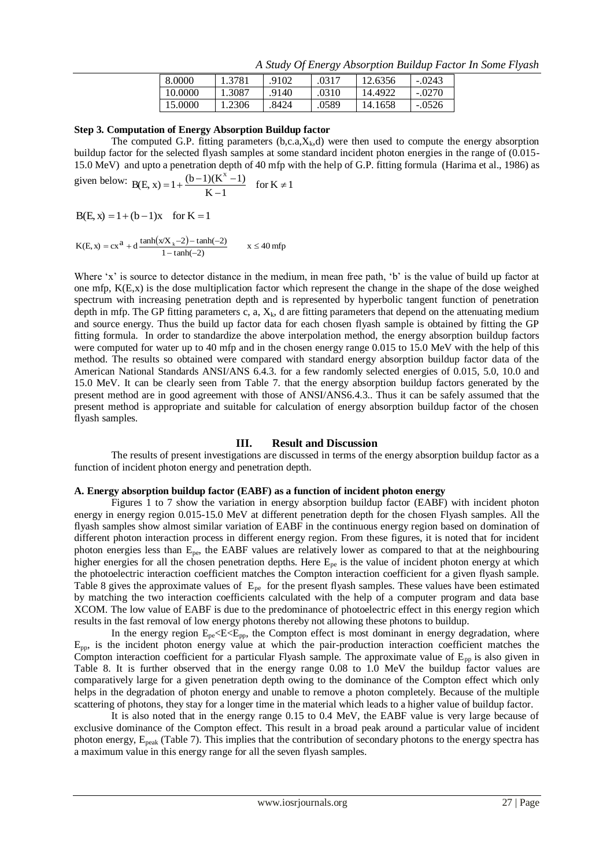| 8.0000  | 1.3781 | .9102 | .0317 | 12.6356 | $-.0243$ |  |
|---------|--------|-------|-------|---------|----------|--|
| 10.0000 | 1.3087 | 9140. | .0310 | 14.4922 | $-.0270$ |  |
| 15.0000 | 1.2306 | .8424 | .0589 | 14.1658 | $-.0526$ |  |

*A Study Of Energy Absorption Buildup Factor In Some Flyash*

## **Step 3. Computation of Energy Absorption Buildup factor**

The computed G.P. fitting parameters  $(b, c, a, X_k, d)$  were then used to compute the energy absorption buildup factor for the selected flyash samples at some standard incident photon energies in the range of (0.015- 15.0 MeV) and upto a penetration depth of 40 mfp with the help of G.P. fitting formula (Harima et al., 1986) as

given below: B(E, x) = 
$$
1 + \frac{(b-1)(K^x - 1)}{K - 1}
$$
 for  $K \neq 1$ 

 $B(E, x) = 1 + (b - 1)x$  for  $K = 1$ 

$$
K(E, x) = cx^{a} + d \frac{\tanh(xX_{k} - 2) - \tanh(-2)}{1 - \tanh(-2)} \qquad x \le 40 \text{ mfp}
$$

Where 'x' is source to detector distance in the medium, in mean free path, 'b' is the value of build up factor at one mfp, K(E,x) is the dose multiplication factor which represent the change in the shape of the dose weighed spectrum with increasing penetration depth and is represented by hyperbolic tangent function of penetration depth in mfp. The GP fitting parameters c, a,  $X_k$ , d are fitting parameters that depend on the attenuating medium and source energy. Thus the build up factor data for each chosen flyash sample is obtained by fitting the GP fitting formula. In order to standardize the above interpolation method, the energy absorption buildup factors were computed for water up to 40 mfp and in the chosen energy range 0.015 to 15.0 MeV with the help of this method. The results so obtained were compared with standard energy absorption buildup factor data of the American National Standards ANSI/ANS 6.4.3. for a few randomly selected energies of 0.015, 5.0, 10.0 and 15.0 MeV. It can be clearly seen from Table 7. that the energy absorption buildup factors generated by the present method are in good agreement with those of ANSI/ANS6.4.3.. Thus it can be safely assumed that the present method is appropriate and suitable for calculation of energy absorption buildup factor of the chosen flyash samples.

# **III. Result and Discussion**

The results of present investigations are discussed in terms of the energy absorption buildup factor as a function of incident photon energy and penetration depth.

### **A. Energy absorption buildup factor (EABF) as a function of incident photon energy**

Figures 1 to 7 show the variation in energy absorption buildup factor (EABF) with incident photon energy in energy region 0.015-15.0 MeV at different penetration depth for the chosen Flyash samples. All the flyash samples show almost similar variation of EABF in the continuous energy region based on domination of different photon interaction process in different energy region. From these figures, it is noted that for incident photon energies less than Epe, the EABF values are relatively lower as compared to that at the neighbouring higher energies for all the chosen penetration depths. Here  $E_{pe}$  is the value of incident photon energy at which the photoelectric interaction coefficient matches the Compton interaction coefficient for a given flyash sample. Table 8 gives the approximate values of  $E_{pe}$  for the present flyash samples. These values have been estimated by matching the two interaction coefficients calculated with the help of a computer program and data base XCOM. The low value of EABF is due to the predominance of photoelectric effect in this energy region which results in the fast removal of low energy photons thereby not allowing these photons to buildup.

In the energy region  $E_{pe} \leq E \leq E_{pp}$ , the Compton effect is most dominant in energy degradation, where  $E_{\text{pp}}$ , is the incident photon energy value at which the pair-production interaction coefficient matches the Compton interaction coefficient for a particular Flyash sample. The approximate value of  $E_{pp}$  is also given in Table 8. It is further observed that in the energy range 0.08 to 1.0 MeV the buildup factor values are comparatively large for a given penetration depth owing to the dominance of the Compton effect which only helps in the degradation of photon energy and unable to remove a photon completely. Because of the multiple scattering of photons, they stay for a longer time in the material which leads to a higher value of buildup factor.

It is also noted that in the energy range 0.15 to 0.4 MeV, the EABF value is very large because of exclusive dominance of the Compton effect. This result in a broad peak around a particular value of incident photon energy,  $E_{peak}$  (Table 7). This implies that the contribution of secondary photons to the energy spectra has a maximum value in this energy range for all the seven flyash samples.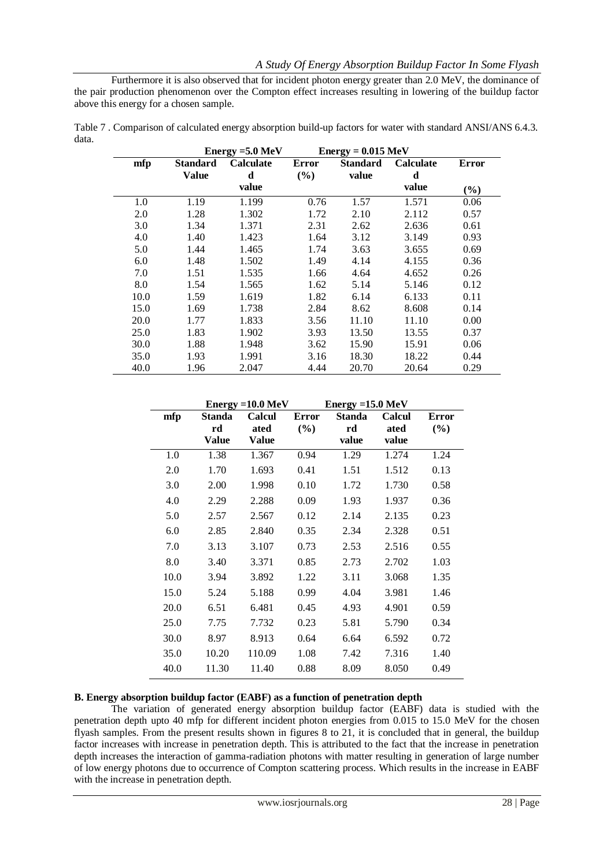Furthermore it is also observed that for incident photon energy greater than 2.0 MeV, the dominance of the pair production phenomenon over the Compton effect increases resulting in lowering of the buildup factor above this energy for a chosen sample.

Table 7 . Comparison of calculated energy absorption build-up factors for water with standard ANSI/ANS 6.4.3. data.

|      |              | Energy = $5.0 \text{ MeV}$ |              | $Energy = 0.015 MeV$ |                  |        |
|------|--------------|----------------------------|--------------|----------------------|------------------|--------|
| mfp  | Standard     | <b>Calculate</b>           | <b>Error</b> | <b>Standard</b>      | <b>Calculate</b> | Error  |
|      | <b>Value</b> | d                          | (%)          | value                | d                |        |
|      |              | value                      |              |                      | value            | $(\%)$ |
| 1.0  | 1.19         | 1.199                      | 0.76         | 1.57                 | 1.571            | 0.06   |
| 2.0  | 1.28         | 1.302                      | 1.72         | 2.10                 | 2.112            | 0.57   |
| 3.0  | 1.34         | 1.371                      | 2.31         | 2.62                 | 2.636            | 0.61   |
| 4.0  | 1.40         | 1.423                      | 1.64         | 3.12                 | 3.149            | 0.93   |
| 5.0  | 1.44         | 1.465                      | 1.74         | 3.63                 | 3.655            | 0.69   |
| 6.0  | 1.48         | 1.502                      | 1.49         | 4.14                 | 4.155            | 0.36   |
| 7.0  | 1.51         | 1.535                      | 1.66         | 4.64                 | 4.652            | 0.26   |
| 8.0  | 1.54         | 1.565                      | 1.62         | 5.14                 | 5.146            | 0.12   |
| 10.0 | 1.59         | 1.619                      | 1.82         | 6.14                 | 6.133            | 0.11   |
| 15.0 | 1.69         | 1.738                      | 2.84         | 8.62                 | 8.608            | 0.14   |
| 20.0 | 1.77         | 1.833                      | 3.56         | 11.10                | 11.10            | 0.00   |
| 25.0 | 1.83         | 1.902                      | 3.93         | 13.50                | 13.55            | 0.37   |
| 30.0 | 1.88         | 1.948                      | 3.62         | 15.90                | 15.91            | 0.06   |
| 35.0 | 1.93         | 1.991                      | 3.16         | 18.30                | 18.22            | 0.44   |
| 40.0 | 1.96         | 2.047                      | 4.44         | 20.70                | 20.64            | 0.29   |

|      |               | Energy = $10.0 \text{ MeV}$ |              | Energy = $15.0 \text{ MeV}$ |               |              |
|------|---------------|-----------------------------|--------------|-----------------------------|---------------|--------------|
| mfp  | <b>Standa</b> | <b>Calcul</b>               | <b>Error</b> | <b>Standa</b>               | <b>Calcul</b> | <b>Error</b> |
|      | rd            | ated                        | (%)          | rd                          | ated          | (%)          |
|      | Value         | <b>Value</b>                |              | value                       | value         |              |
| 1.0  | 1.38          | 1.367                       | 0.94         | 1.29                        | 1.274         | 1.24         |
| 2.0  | 1.70          | 1.693                       | 0.41         | 1.51                        | 1.512         | 0.13         |
| 3.0  | 2.00          | 1.998                       | 0.10         | 1.72                        | 1.730         | 0.58         |
| 4.0  | 2.29          | 2.288                       | 0.09         | 1.93                        | 1.937         | 0.36         |
| 5.0  | 2.57          | 2.567                       | 0.12         | 2.14                        | 2.135         | 0.23         |
| 6.0  | 2.85          | 2.840                       | 0.35         | 2.34                        | 2.328         | 0.51         |
| 7.0  | 3.13          | 3.107                       | 0.73         | 2.53                        | 2.516         | 0.55         |
| 8.0  | 3.40          | 3.371                       | 0.85         | 2.73                        | 2.702         | 1.03         |
| 10.0 | 3.94          | 3.892                       | 1.22         | 3.11                        | 3.068         | 1.35         |
| 15.0 | 5.24          | 5.188                       | 0.99         | 4.04                        | 3.981         | 1.46         |
| 20.0 | 6.51          | 6.481                       | 0.45         | 4.93                        | 4.901         | 0.59         |
| 25.0 | 7.75          | 7.732                       | 0.23         | 5.81                        | 5.790         | 0.34         |
| 30.0 | 8.97          | 8.913                       | 0.64         | 6.64                        | 6.592         | 0.72         |
| 35.0 | 10.20         | 110.09                      | 1.08         | 7.42                        | 7.316         | 1.40         |
| 40.0 | 11.30         | 11.40                       | 0.88         | 8.09                        | 8.050         | 0.49         |

### **B. Energy absorption buildup factor (EABF) as a function of penetration depth**

The variation of generated energy absorption buildup factor (EABF) data is studied with the penetration depth upto 40 mfp for different incident photon energies from 0.015 to 15.0 MeV for the chosen flyash samples. From the present results shown in figures 8 to 21, it is concluded that in general, the buildup factor increases with increase in penetration depth. This is attributed to the fact that the increase in penetration depth increases the interaction of gamma-radiation photons with matter resulting in generation of large number of low energy photons due to occurrence of Compton scattering process. Which results in the increase in EABF with the increase in penetration depth.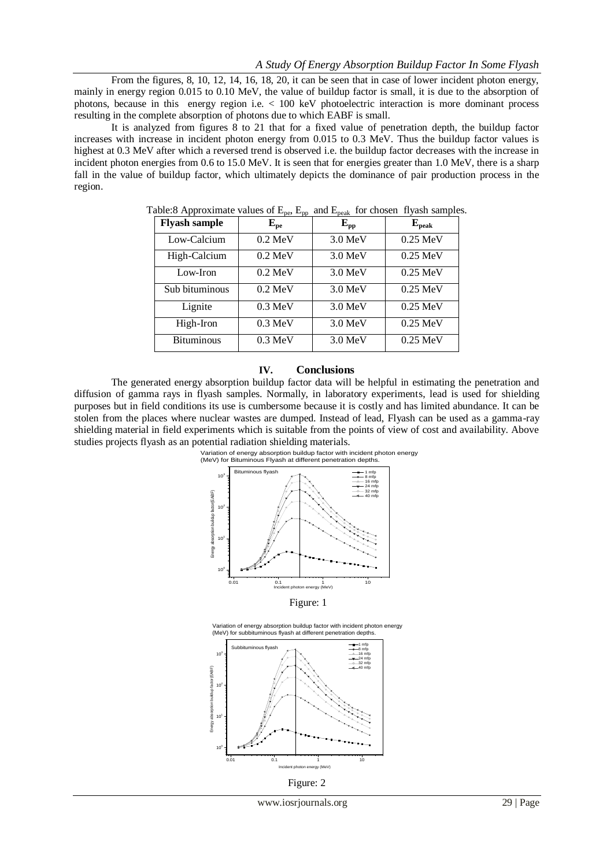From the figures, 8, 10, 12, 14, 16, 18, 20, it can be seen that in case of lower incident photon energy, mainly in energy region 0.015 to 0.10 MeV, the value of buildup factor is small, it is due to the absorption of photons, because in this energy region i.e. < 100 keV photoelectric interaction is more dominant process resulting in the complete absorption of photons due to which EABF is small.

It is analyzed from figures 8 to 21 that for a fixed value of penetration depth, the buildup factor increases with increase in incident photon energy from 0.015 to 0.3 MeV. Thus the buildup factor values is highest at 0.3 MeV after which a reversed trend is observed i.e. the buildup factor decreases with the increase in incident photon energies from 0.6 to 15.0 MeV. It is seen that for energies greater than 1.0 MeV, there is a sharp fall in the value of buildup factor, which ultimately depicts the dominance of pair production process in the region.

| <b>Flyash sample</b> | ${\bf E_{pe}}$    | $E_{\rm pp}$      | ${\bf E_{peak}}$ |
|----------------------|-------------------|-------------------|------------------|
| Low-Calcium          | $0.2 \text{ MeV}$ | $3.0 \text{ MeV}$ | $0.25$ MeV       |
| High-Calcium         | $0.2 \text{ MeV}$ | $3.0 \text{ MeV}$ | $0.25$ MeV       |
| Low-Iron             | $0.2 \text{ MeV}$ | $3.0 \text{ MeV}$ | $0.25$ MeV       |
| Sub bituminous       | $0.2 \text{ MeV}$ | 3.0 MeV           | $0.25$ MeV       |
| Lignite              | $0.3 \text{ MeV}$ | $3.0 \text{ MeV}$ | $0.25$ MeV       |
| High-Iron            | $0.3 \text{ MeV}$ | $3.0 \text{ MeV}$ | $0.25$ MeV       |
| <b>Bituminous</b>    | $0.3 \text{ MeV}$ | $3.0 \text{ MeV}$ | $0.25$ MeV       |

Table:8 Approximate values of  $E_{\text{p}}$ ,  $E_{\text{p}}$  and  $E_{\text{p}}$  for chosen flyash samples.

#### **IV. Conclusions**

The generated energy absorption buildup factor data will be helpful in estimating the penetration and diffusion of gamma rays in flyash samples. Normally, in laboratory experiments, lead is used for shielding purposes but in field conditions its use is cumbersome because it is costly and has limited abundance. It can be stolen from the places where nuclear wastes are dumped. Instead of lead, Flyash can be used as a gamma-ray shielding material in field experiments which is suitable from the points of view of cost and availability. Above studies projects flyash as an potential radiation shielding materials.



Figure: 1

0.01 0.1 1 10

ergy (MeV)



Figure: 2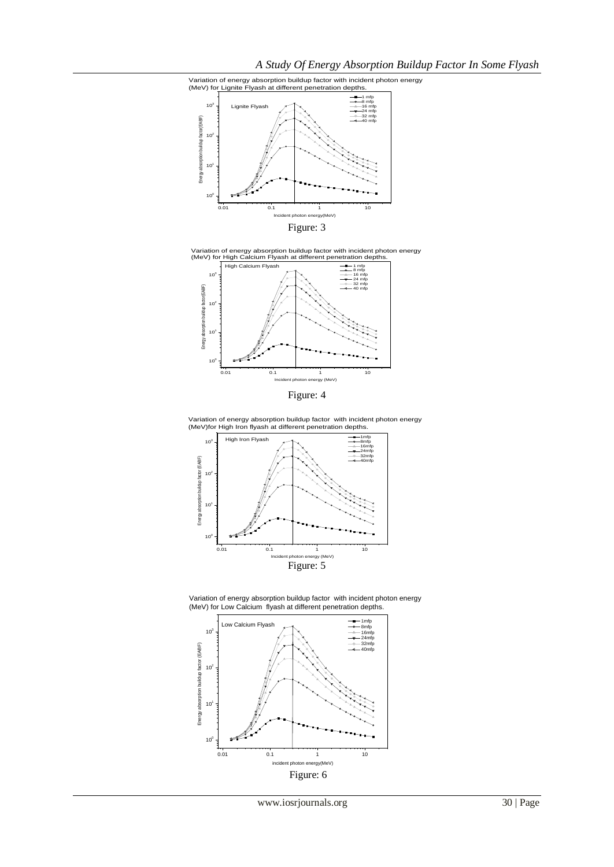









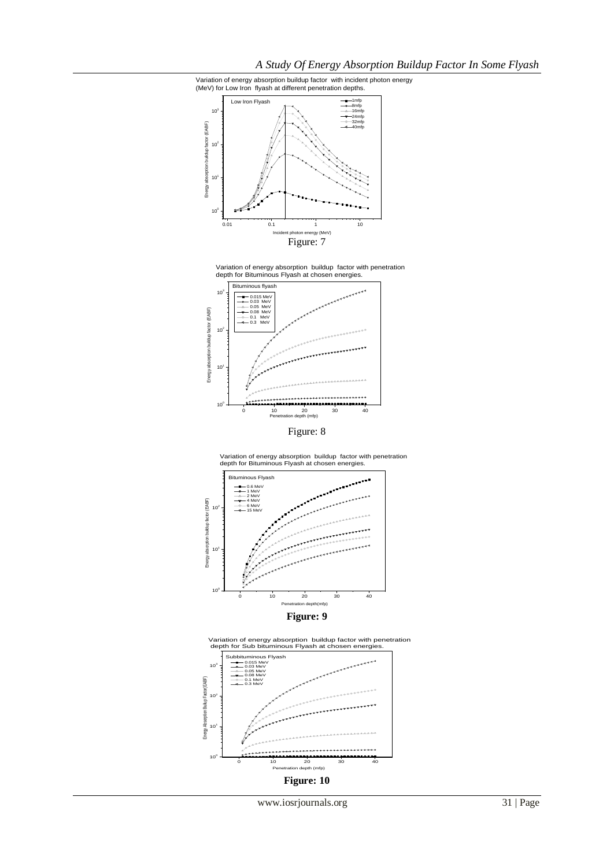*A Study Of Energy Absorption Buildup Factor In Some Flyash*







Variation of energy absorption buildup factor with penetration depth for Bituminous Flyash at chosen energies.







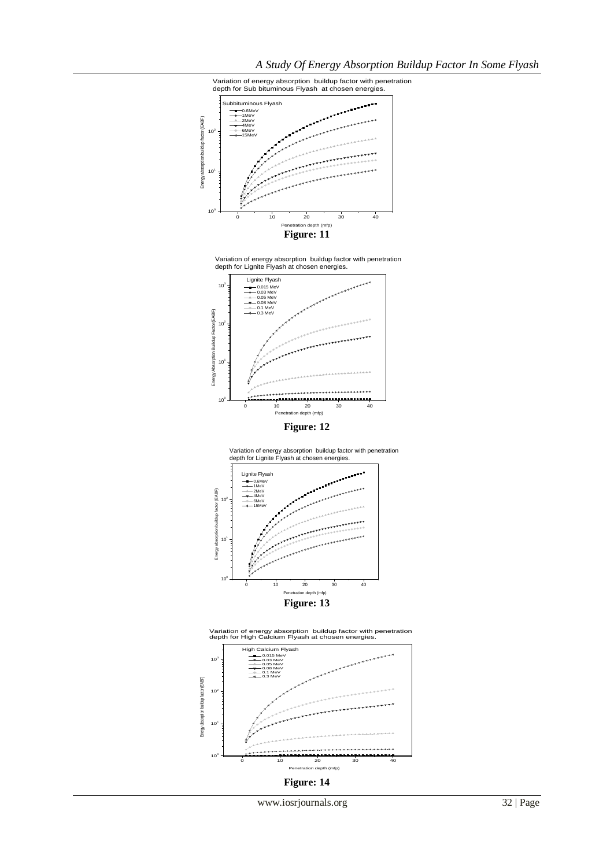



**Figure: 12**





10<sup>3</sup> High Calcium Flyash Variation of energy absorption buildup factor with penetration depth for High Calcium Flyash at chosen energies.



www.iosrjournals.org 32 | Page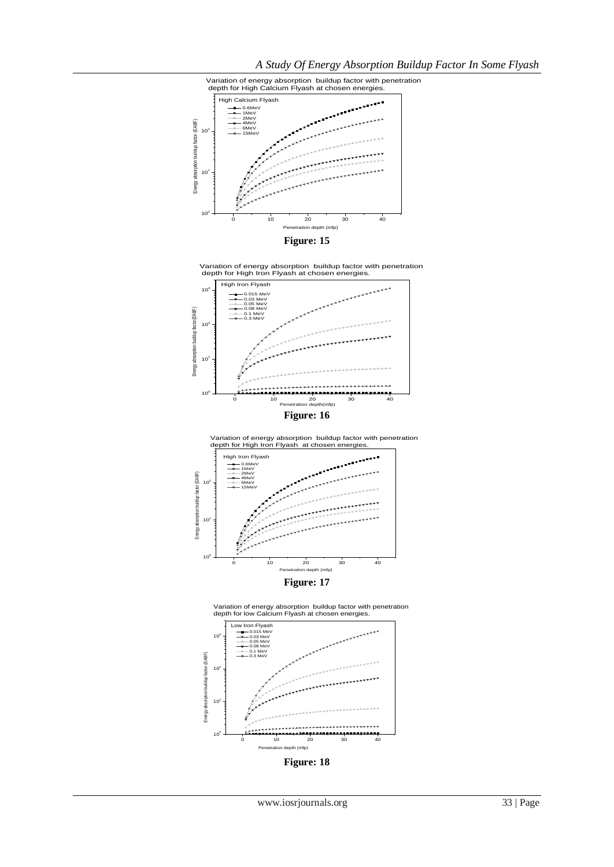







**Figure: 17**



**Figure: 18**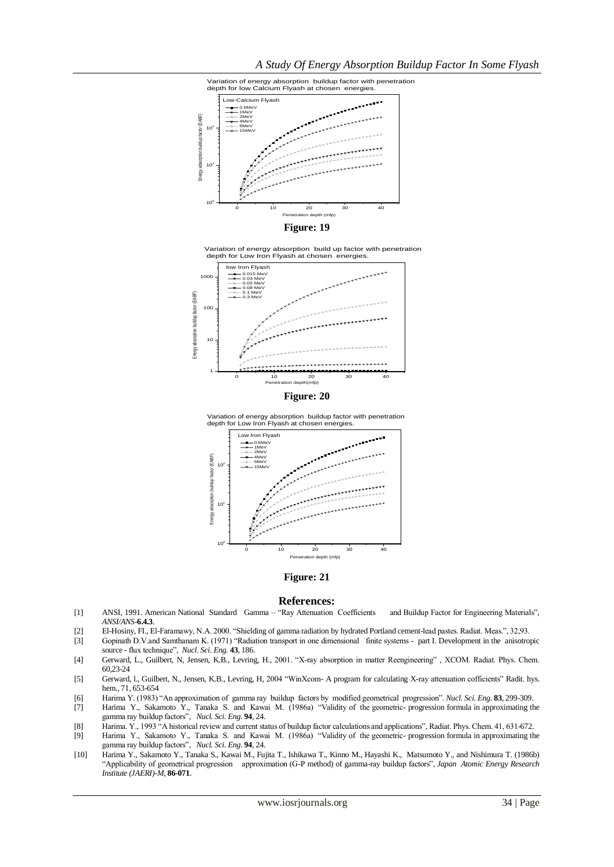









#### **Figure: 21**

#### **References:**

- [1] ANSI, 1991. American National Standard Gamma "Ray Attenuation Coefficients and Buildup Factor for Engineering Materials", *ANSI/ANS*-**6.4.3**.
- [2] El-Hosiny, FI., El-Faramawy, N.A. 2000. "Shielding of gamma radiation by hydrated Portland cement-lead pastes. Radiat. Meas.", 32,93.
- [3] Gopinath D.V.and Samthanam K. (1971) "Radiation transport in one dimensional finite systems part I. Development in the anisotropic source - flux technique", *Nucl. Sci. Eng.* **43**, 186.
- [4] Gerward, L., Guilbert, N, Jensen, K.B., Levring, H., 2001. "X-ray absorption in matter Reengineering" , XCOM. Radiat. Phys. Chem. 60,23-24
- [5] Gerward, l., Guilbert, N., Jensen, K.B., Levring, H, 2004 "WinXcom- A program for calculating X-ray attenuation cofficients" Radit. hys. hem., 71, 653-654
- [6] Harima Y. (1983) "An approximation of gamma ray buildup factors by modified geometrical progression". *Nucl. Sci. Eng*. **83**, 299-309.
- [7] Harima Y., Sakamoto Y., Tanaka S. and Kawai M. (1986a) "Validity of the geometric- progression formula in approximating the gamma ray buildup factors", *Nucl. Sci. Eng.* **94**, 24.
- [8] Harima. Y., 1993 "A historical review and current status of buildup factor calculations and applications", Radiat. Phys. Chem. 41, 631-672.
- [9] Harima Y., Sakamoto Y., Tanaka S. and Kawai M. (1986a) "Validity of the geometric- progression formula in approximating the gamma ray buildup factors", *Nucl. Sci. Eng.* **94**, 24.
- [10] Harima Y., Sakamoto Y., Tanaka S., Kawai M., Fujita T., Ishikawa T., Kinno M., Hayashi K., Matsumoto Y., and Nishimura T. (1986b) "Applicability of geometrical progression approximation (G-P method) of gamma-ray buildup factors", *Japan Atomic Energy Research Institute (JAERI)-M*, **86-071**.